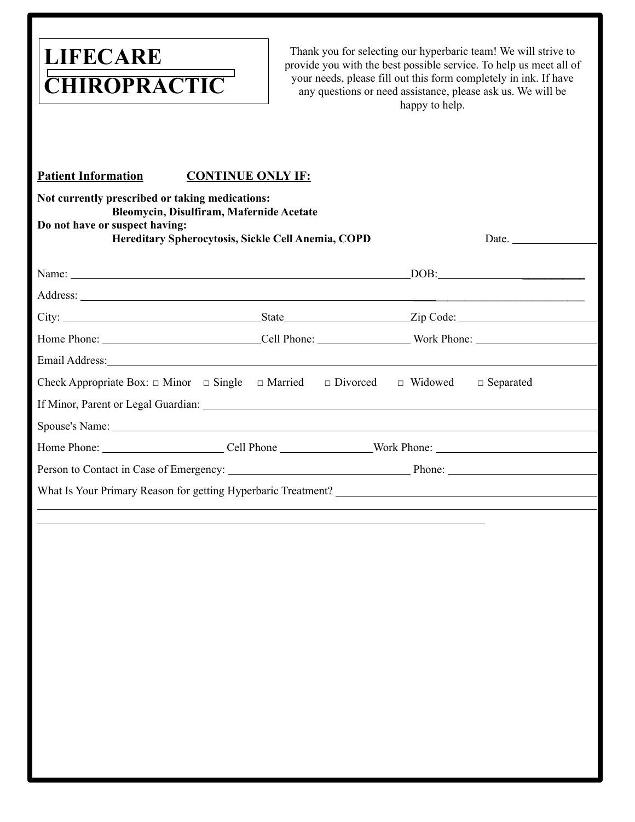# **LIFECARE CHIROPRACTIC**

Thank you for selecting our hyperbaric team! We will strive to provide you with the best possible service. To help us meet all of your needs, please fill out this form completely in ink. If have any questions or need assistance, please ask us. We will be happy to help.

#### **Patient Information CONTINUE ONLY IF:**

| Not currently prescribed or taking medications:<br>Do not have or suspect having: | Bleomycin, Disulfiram, Mafernide Acetate |                                                       |              |  |
|-----------------------------------------------------------------------------------|------------------------------------------|-------------------------------------------------------|--------------|--|
| Hereditary Spherocytosis, Sickle Cell Anemia, COPD                                |                                          |                                                       | Date. $\_\_$ |  |
| Name:                                                                             |                                          | DOB:                                                  |              |  |
|                                                                                   |                                          |                                                       |              |  |
|                                                                                   |                                          |                                                       |              |  |
|                                                                                   |                                          |                                                       |              |  |
|                                                                                   |                                          |                                                       |              |  |
| Check Appropriate Box: $\Box$ Minor $\Box$ Single $\Box$ Married                  |                                          | $\Box$ Divorced<br>$\Box$ Widowed<br>$\Box$ Separated |              |  |
|                                                                                   |                                          |                                                       |              |  |
|                                                                                   |                                          |                                                       |              |  |
|                                                                                   |                                          |                                                       |              |  |
|                                                                                   |                                          |                                                       |              |  |
|                                                                                   |                                          |                                                       |              |  |
|                                                                                   |                                          |                                                       |              |  |
|                                                                                   |                                          |                                                       |              |  |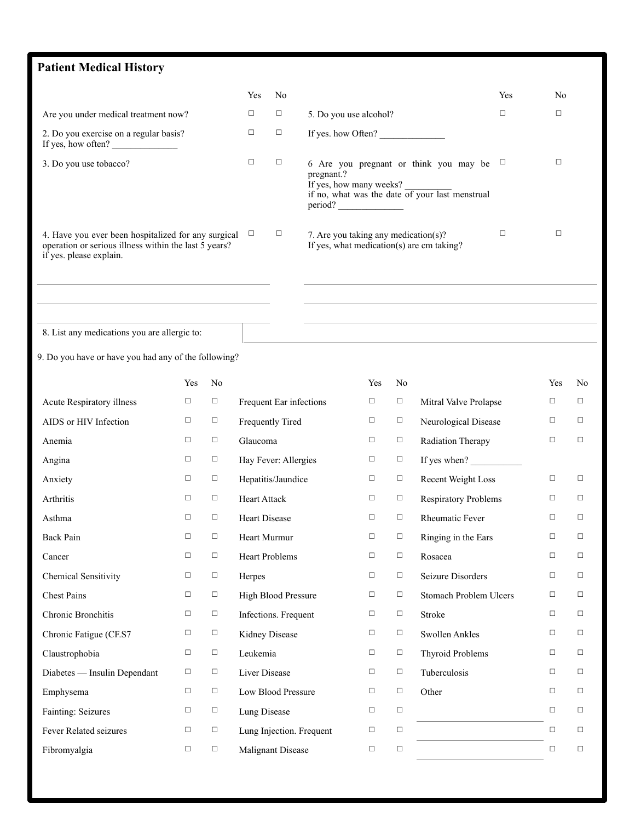# **Patient Medical History**  9. Do you have or have you had any of the following? Yes No Yes No Are you under medical treatment now?  $\Box$   $\Box$  5. Do you use alcohol?  $\Box$ 2. Do you exercise on a regular basis? If yes, how often? ☐ ☐ If yes. how Often? \_\_\_\_\_\_\_\_\_\_\_\_\_\_ 3. Do you use tobacco?  $\Box$   $\Box$  6 Are you pregnant or think you may be  $\Box$ pregnant.? If yes, how many weeks? if no, what was the date of your last menstrual period? \_\_\_\_\_\_\_\_\_\_\_\_\_\_ 4. Have you ever been hospitalized for any surgical  $\Box$ operation or serious illness within the last 5 years? if yes. please explain.  $\Box$  7. Are you taking any medication(s)? If yes, what medication(s) are cm taking? ☐ ☐ 8. List any medications you are allergic to: Yes No Yes No Yes No Acute Respiratory illness □ □ □ Frequent Ear infections □ □ Mitral Valve Prolapse □ □ AIDS or HIV Infection □ □ Frequently Tired □ □ Neurological Disease □ □ Anemia □ □ <del>□</del> Glaucoma □ □ Radiation Therapy □ □ Angina ☐ ☐ Hay Fever: Allergies ☐ ☐ If yes when? \_\_\_\_\_\_\_\_\_\_\_ Anxiety □ Hepatitis/Jaundice □ Recent Weight Loss □ Arthritis □ Heart Attack □ Respiratory Problems □ □ Asthma □ Heart Disease □ Rheumatic Fever □ □ Back Pain □ Heart Murmur □ Ringing in the Ears □ □ Cancer □ Heart Problems □ Rosacea □ □ Chemical Sensitivity □ □ □ Herpes □ □ Seizure Disorders □ □ Chest Pains □ High Blood Pressure □ Stomach Problem Ulcers □ □ Chronic Bronchitis <del>□</del> □ Infections. Frequent □ □ Stroke □ □ Chronic Fatigue (CF.S7 □ □ Kidney Disease □ □ Swollen Ankles □ □ Claustrophobia □ □ Leukemia □ □ Thyroid Problems □ □ Diabetes — Insulin Dependant □ □ Liver Disease □ □ □ Tuberculosis □ □ Emphysema □ Low Blood Pressure □ Other □ □ Fainting: Seizures □ □ Lung Disease □ Fever Related seizures <del>□</del> □ <u></u>□ Lung Injection. Frequent □ □ Fibromyalgia □ □ Malignant Disease □ □ □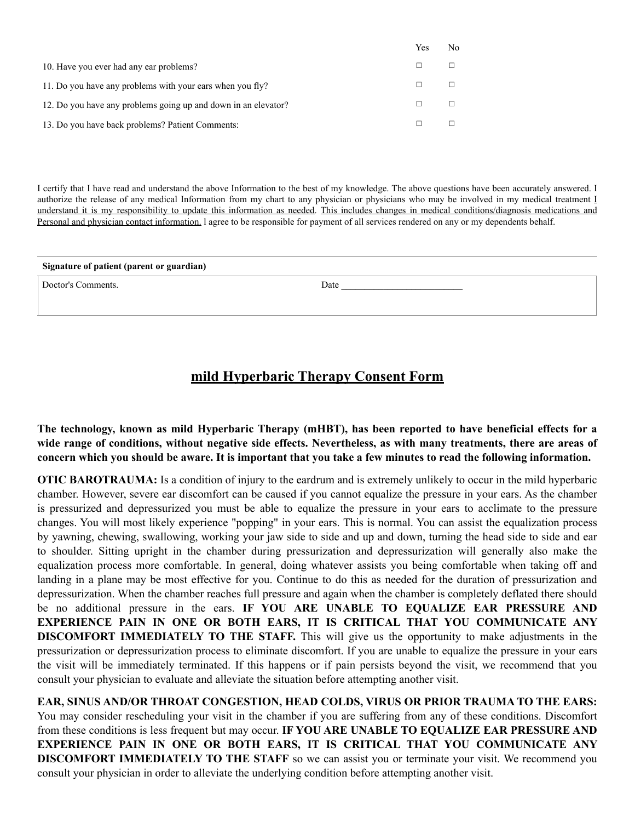|                                                                | 1 CS | 150 |
|----------------------------------------------------------------|------|-----|
| 10. Have you ever had any ear problems?                        |      |     |
| 11. Do you have any problems with your ears when you fly?      |      |     |
| 12. Do you have any problems going up and down in an elevator? |      |     |
| 13. Do you have back problems? Patient Comments:               |      |     |

I certify that I have read and understand the above Information to the best of my knowledge. The above questions have been accurately answered. I authorize the release of any medical Information from my chart to any physician or physicians who may be involved in my medical treatment I understand it is my responsibility to update this information as needed. This includes changes in medical conditions/diagnosis medications and Personal and physician contact information. l agree to be responsible for payment of all services rendered on any or my dependents behalf.

 $V_{\text{ext}} = N_{\text{tot}}$ 

| Signature of patient (parent or guardian) |      |  |  |  |  |
|-------------------------------------------|------|--|--|--|--|
| Doctor's Comments.                        | Date |  |  |  |  |
|                                           |      |  |  |  |  |

## **mild Hyperbaric Therapy Consent Form**

**The technology, known as mild Hyperbaric Therapy (mHBT), has been reported to have beneficial effects for a wide range of conditions, without negative side effects. Nevertheless, as with many treatments, there are areas of concern which you should be aware. It is important that you take a few minutes to read the following information.** 

**OTIC BAROTRAUMA:** Is a condition of injury to the eardrum and is extremely unlikely to occur in the mild hyperbaric chamber. However, severe ear discomfort can be caused if you cannot equalize the pressure in your ears. As the chamber is pressurized and depressurized you must be able to equalize the pressure in your ears to acclimate to the pressure changes. You will most likely experience "popping" in your ears. This is normal. You can assist the equalization process by yawning, chewing, swallowing, working your jaw side to side and up and down, turning the head side to side and ear to shoulder. Sitting upright in the chamber during pressurization and depressurization will generally also make the equalization process more comfortable. In general, doing whatever assists you being comfortable when taking off and landing in a plane may be most effective for you. Continue to do this as needed for the duration of pressurization and depressurization. When the chamber reaches full pressure and again when the chamber is completely deflated there should be no additional pressure in the ears. **IF YOU ARE UNABLE TO EQUALIZE EAR PRESSURE AND EXPERIENCE PAIN IN ONE OR BOTH EARS, IT IS CRITICAL THAT YOU COMMUNICATE ANY DISCOMFORT IMMEDIATELY TO THE STAFF.** This will give us the opportunity to make adjustments in the pressurization or depressurization process to eliminate discomfort. If you are unable to equalize the pressure in your ears the visit will be immediately terminated. If this happens or if pain persists beyond the visit, we recommend that you consult your physician to evaluate and alleviate the situation before attempting another visit.

**EAR, SINUS AND/OR THROAT CONGESTION, HEAD COLDS, VIRUS OR PRIOR TRAUMA TO THE EARS:** You may consider rescheduling your visit in the chamber if you are suffering from any of these conditions. Discomfort from these conditions is less frequent but may occur. **IF YOU ARE UNABLE TO EQUALIZE EAR PRESSURE AND EXPERIENCE PAIN IN ONE OR BOTH EARS, IT IS CRITICAL THAT YOU COMMUNICATE ANY DISCOMFORT IMMEDIATELY TO THE STAFF** so we can assist you or terminate your visit. We recommend you consult your physician in order to alleviate the underlying condition before attempting another visit.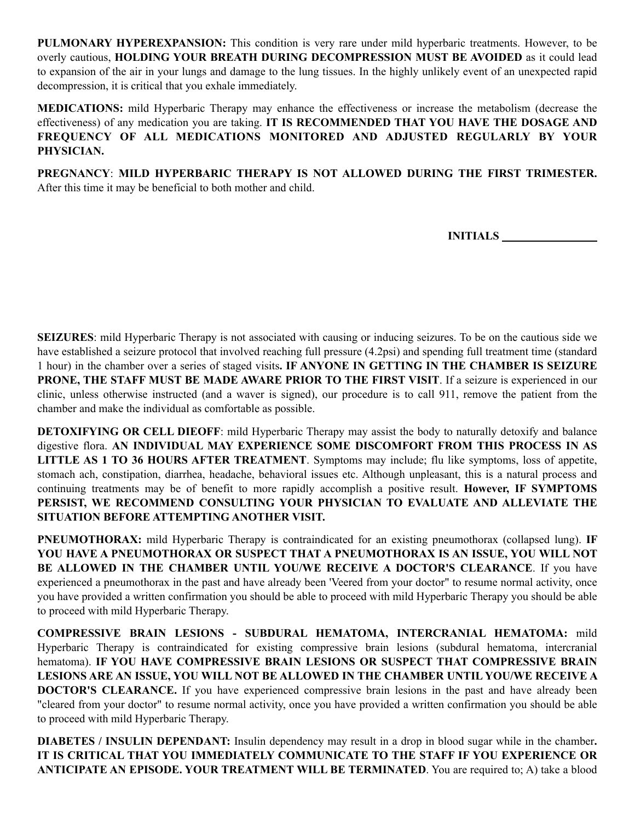**PULMONARY HYPEREXPANSION:** This condition is very rare under mild hyperbaric treatments. However, to be overly cautious, **HOLDING YOUR BREATH DURING DECOMPRESSION MUST BE AVOIDED** as it could lead to expansion of the air in your lungs and damage to the lung tissues. In the highly unlikely event of an unexpected rapid decompression, it is critical that you exhale immediately.

**MEDICATIONS:** mild Hyperbaric Therapy may enhance the effectiveness or increase the metabolism (decrease the effectiveness) of any medication you are taking. **IT IS RECOMMENDED THAT YOU HAVE THE DOSAGE AND FREQUENCY OF ALL MEDICATIONS MONITORED AND ADJUSTED REGULARLY BY YOUR PHYSICIAN.** 

**PREGNANCY**: **MILD HYPERBARIC THERAPY IS NOT ALLOWED DURING THE FIRST TRIMESTER.** After this time it may be beneficial to both mother and child.

**INITIALS** 

**SEIZURES**: mild Hyperbaric Therapy is not associated with causing or inducing seizures. To be on the cautious side we have established a seizure protocol that involved reaching full pressure (4.2psi) and spending full treatment time (standard 1 hour) in the chamber over a series of staged visits**. IF ANYONE IN GETTING IN THE CHAMBER IS SEIZURE PRONE, THE STAFF MUST BE MADE AWARE PRIOR TO THE FIRST VISIT**. If a seizure is experienced in our clinic, unless otherwise instructed (and a waver is signed), our procedure is to call 911, remove the patient from the chamber and make the individual as comfortable as possible.

**DETOXIFYING OR CELL DIEOFF**: mild Hyperbaric Therapy may assist the body to naturally detoxify and balance digestive flora. **AN INDIVIDUAL MAY EXPERIENCE SOME DISCOMFORT FROM THIS PROCESS IN AS LITTLE AS 1 TO 36 HOURS AFTER TREATMENT**. Symptoms may include; flu like symptoms, loss of appetite, stomach ach, constipation, diarrhea, headache, behavioral issues etc. Although unpleasant, this is a natural process and continuing treatments may be of benefit to more rapidly accomplish a positive result. **However, IF SYMPTOMS PERSIST, WE RECOMMEND CONSULTING YOUR PHYSICIAN TO EVALUATE AND ALLEVIATE THE SITUATION BEFORE ATTEMPTING ANOTHER VISIT.**

**PNEUMOTHORAX:** mild Hyperbaric Therapy is contraindicated for an existing pneumothorax (collapsed lung). **IF YOU HAVE A PNEUMOTHORAX OR SUSPECT THAT A PNEUMOTHORAX IS AN ISSUE, YOU WILL NOT BE ALLOWED IN THE CHAMBER UNTIL YOU/WE RECEIVE A DOCTOR'S CLEARANCE**. If you have experienced a pneumothorax in the past and have already been 'Veered from your doctor" to resume normal activity, once you have provided a written confirmation you should be able to proceed with mild Hyperbaric Therapy you should be able to proceed with mild Hyperbaric Therapy.

**COMPRESSIVE BRAIN LESIONS - SUBDURAL HEMATOMA, INTERCRANIAL HEMATOMA:** mild Hyperbaric Therapy is contraindicated for existing compressive brain lesions (subdural hematoma, intercranial hematoma). **IF YOU HAVE COMPRESSIVE BRAIN LESIONS OR SUSPECT THAT COMPRESSIVE BRAIN LESIONS ARE AN ISSUE, YOU WILL NOT BE ALLOWED IN THE CHAMBER UNTIL YOU/WE RECEIVE A DOCTOR'S CLEARANCE.** If you have experienced compressive brain lesions in the past and have already been "cleared from your doctor" to resume normal activity, once you have provided a written confirmation you should be able to proceed with mild Hyperbaric Therapy.

**DIABETES / INSULIN DEPENDANT:** Insulin dependency may result in a drop in blood sugar while in the chamber**. IT IS CRITICAL THAT YOU IMMEDIATELY COMMUNICATE TO THE STAFF IF YOU EXPERIENCE OR ANTICIPATE AN EPISODE. YOUR TREATMENT WILL BE TERMINATED**. You are required to; A) take a blood